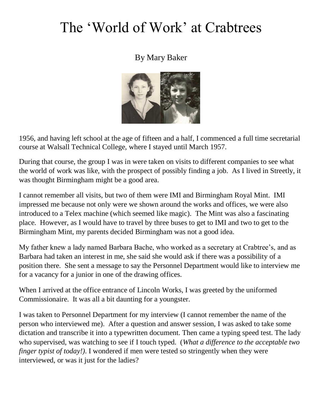## The 'World of Work' at Crabtrees

## By Mary Baker



1956, and having left school at the age of fifteen and a half, I commenced a full time secretarial course at Walsall Technical College, where I stayed until March 1957.

During that course, the group I was in were taken on visits to different companies to see what the world of work was like, with the prospect of possibly finding a job. As I lived in Streetly, it was thought Birmingham might be a good area.

I cannot remember all visits, but two of them were IMI and Birmingham Royal Mint. IMI impressed me because not only were we shown around the works and offices, we were also introduced to a Telex machine (which seemed like magic). The Mint was also a fascinating place. However, as I would have to travel by three buses to get to IMI and two to get to the Birmingham Mint, my parents decided Birmingham was not a good idea.

My father knew a lady named Barbara Bache, who worked as a secretary at Crabtree's, and as Barbara had taken an interest in me, she said she would ask if there was a possibility of a position there. She sent a message to say the Personnel Department would like to interview me for a vacancy for a junior in one of the drawing offices.

When I arrived at the office entrance of Lincoln Works, I was greeted by the uniformed Commissionaire. It was all a bit daunting for a youngster.

I was taken to Personnel Department for my interview (I cannot remember the name of the person who interviewed me). After a question and answer session, I was asked to take some dictation and transcribe it into a typewritten document. Then came a typing speed test. The lady who supervised, was watching to see if I touch typed. (*What a difference to the acceptable two finger typist of today!*). I wondered if men were tested so stringently when they were interviewed, or was it just for the ladies?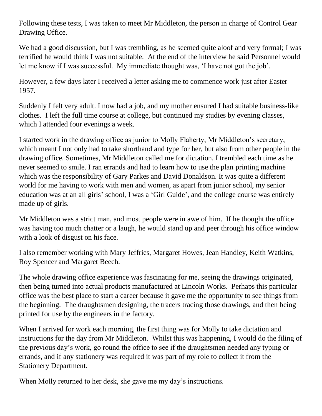Following these tests, I was taken to meet Mr Middleton, the person in charge of Control Gear Drawing Office.

We had a good discussion, but I was trembling, as he seemed quite aloof and very formal; I was terrified he would think I was not suitable. At the end of the interview he said Personnel would let me know if I was successful. My immediate thought was, 'I have not got the job'.

However, a few days later I received a letter asking me to commence work just after Easter 1957.

Suddenly I felt very adult. I now had a job, and my mother ensured I had suitable business-like clothes. I left the full time course at college, but continued my studies by evening classes, which I attended four evenings a week.

I started work in the drawing office as junior to Molly Flaherty, Mr Middleton's secretary, which meant I not only had to take shorthand and type for her, but also from other people in the drawing office. Sometimes, Mr Middleton called me for dictation. I trembled each time as he never seemed to smile. I ran errands and had to learn how to use the plan printing machine which was the responsibility of Gary Parkes and David Donaldson. It was quite a different world for me having to work with men and women, as apart from junior school, my senior education was at an all girls' school, I was a 'Girl Guide', and the college course was entirely made up of girls.

Mr Middleton was a strict man, and most people were in awe of him. If he thought the office was having too much chatter or a laugh, he would stand up and peer through his office window with a look of disgust on his face.

I also remember working with Mary Jeffries, Margaret Howes, Jean Handley, Keith Watkins, Roy Spencer and Margaret Beech.

The whole drawing office experience was fascinating for me, seeing the drawings originated, then being turned into actual products manufactured at Lincoln Works. Perhaps this particular office was the best place to start a career because it gave me the opportunity to see things from the beginning. The draughtsmen designing, the tracers tracing those drawings, and then being printed for use by the engineers in the factory.

When I arrived for work each morning, the first thing was for Molly to take dictation and instructions for the day from Mr Middleton. Whilst this was happening, I would do the filing of the previous day's work, go round the office to see if the draughtsmen needed any typing or errands, and if any stationery was required it was part of my role to collect it from the Stationery Department.

When Molly returned to her desk, she gave me my day's instructions.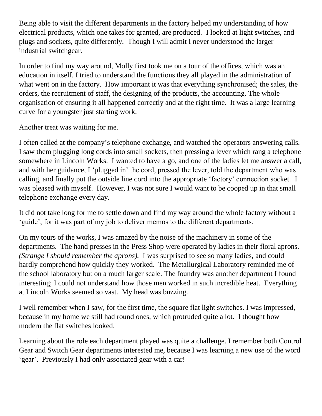Being able to visit the different departments in the factory helped my understanding of how electrical products, which one takes for granted, are produced. I looked at light switches, and plugs and sockets, quite differently. Though I will admit I never understood the larger industrial switchgear.

In order to find my way around, Molly first took me on a tour of the offices, which was an education in itself. I tried to understand the functions they all played in the administration of what went on in the factory. How important it was that everything synchronised; the sales, the orders, the recruitment of staff, the designing of the products, the accounting. The whole organisation of ensuring it all happened correctly and at the right time. It was a large learning curve for a youngster just starting work.

Another treat was waiting for me.

I often called at the company's telephone exchange, and watched the operators answering calls. I saw them plugging long cords into small sockets, then pressing a lever which rang a telephone somewhere in Lincoln Works. I wanted to have a go, and one of the ladies let me answer a call, and with her guidance, I 'plugged in' the cord, pressed the lever, told the department who was calling, and finally put the outside line cord into the appropriate 'factory' connection socket. I was pleased with myself. However, I was not sure I would want to be cooped up in that small telephone exchange every day.

It did not take long for me to settle down and find my way around the whole factory without a 'guide', for it was part of my job to deliver memos to the different departments.

On my tours of the works, I was amazed by the noise of the machinery in some of the departments. The hand presses in the Press Shop were operated by ladies in their floral aprons. *(Strange I should remember the aprons).* I was surprised to see so many ladies, and could hardly comprehend how quickly they worked. The Metallurgical Laboratory reminded me of the school laboratory but on a much larger scale. The foundry was another department I found interesting; I could not understand how those men worked in such incredible heat. Everything at Lincoln Works seemed so vast. My head was buzzing.

I well remember when I saw, for the first time, the square flat light switches. I was impressed, because in my home we still had round ones, which protruded quite a lot. I thought how modern the flat switches looked.

Learning about the role each department played was quite a challenge. I remember both Control Gear and Switch Gear departments interested me, because I was learning a new use of the word 'gear'. Previously I had only associated gear with a car!